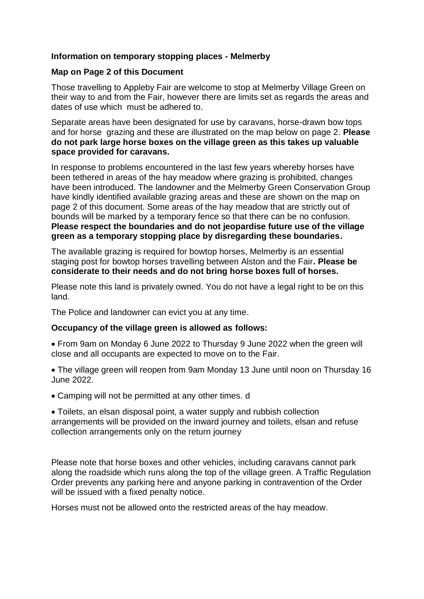## **Information on temporary stopping places - Melmerby**

## **Map on Page 2 of this Document**

Those travelling to Appleby Fair are welcome to stop at Melmerby Village Green on their way to and from the Fair, however there are limits set as regards the areas and dates of use which must be adhered to.

Separate areas have been designated for use by caravans, horse-drawn bow tops and for horse grazing and these are illustrated on the map below on page 2. **Please do not park large horse boxes on the village green as this takes up valuable space provided for caravans.**

In response to problems encountered in the last few years whereby horses have been tethered in areas of the hay meadow where grazing is prohibited, changes have been introduced. The landowner and the Melmerby Green Conservation Group have kindly identified available grazing areas and these are shown on the map on page 2 of this document. Some areas of the hay meadow that are strictly out of bounds will be marked by a temporary fence so that there can be no confusion. **Please respect the boundaries and do not jeopardise future use of the village green as a temporary stopping place by disregarding these boundaries.**

The available grazing is required for bowtop horses, Melmerby is an essential staging post for bowtop horses travelling between Alston and the Fair**. Please be considerate to their needs and do not bring horse boxes full of horses.**

Please note this land is privately owned. You do not have a legal right to be on this land.

The Police and landowner can evict you at any time.

## **Occupancy of the village green is allowed as follows:**

• From 9am on Monday 6 June 2022 to Thursday 9 June 2022 when the green will close and all occupants are expected to move on to the Fair.

• The village green will reopen from 9am Monday 13 June until noon on Thursday 16 June 2022.

• Camping will not be permitted at any other times. d

• Toilets, an elsan disposal point, a water supply and rubbish collection arrangements will be provided on the inward journey and toilets, elsan and refuse collection arrangements only on the return journey

Please note that horse boxes and other vehicles, including caravans cannot park along the roadside which runs along the top of the village green. A Traffic Regulation Order prevents any parking here and anyone parking in contravention of the Order will be issued with a fixed penalty notice.

Horses must not be allowed onto the restricted areas of the hay meadow.